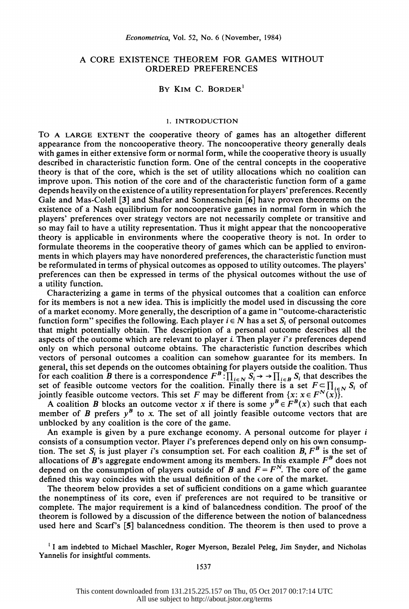## A CORE EXISTENCE THEOREM FOR GAMES WITHOUT ORDERED PREFERENCES

# BY KIM C. BORDER'

## 1. INTRODUCTION

 TO A LARGE EXTENT the cooperative theory of games has an altogether different appearance from the noncooperative theory. The noncooperative theory generally deals with games in either extensive form or normal form, while the cooperative theory is usually described in characteristic function form. One of the central concepts in the cooperative theory is that of the core, which is the set of utility allocations which no coalition can improve upon. This notion of the core and of the characteristic function form of a game depends heavily on the existence of a utility representation for players' preferences. Recently Gale and Mas-Colell [3] and Shafer and Sonnenschein [6] have proven theorems on the existence of a Nash equilibrium for noncooperative games in normal form in which the players' preferences over strategy vectors are not necessarily complete or transitive and so may fail to have a utility representation. Thus it might appear that the noncooperative theory is applicable in environments where the cooperative theory is not. In order to formulate theorems in the cooperative theory of games which can be applied to environ ments in which players may have nonordered preferences, the characteristic function must be reformulated in terms of physical outcomes as opposed to utility outcomes. The players' preferences can then be expressed in terms of the physical outcomes without the use of a utility function.

 Characterizing a game in terms of the physical outcomes that a coalition can enforce for its members is not a new idea. This is implicitly the model used in discussing the core of a market economy. More generally, the description of a game in "outcome-characteristic function form" specifies the following. Each player  $i \in N$  has a set  $S_i$  of personal outcomes that might potentially obtain. The description of a personal outcome describes all the aspects of the outcome which are relevant to player i. Then player i's preferences depend only on which personal outcome obtains. The characteristic function describes which vectors of personal outcomes a coalition can somehow guarantee for its members. In general, this set depends on the outcomes obtaining for players outside the coalition. Thus for each coalition B there is a correspondence  $F^B: \prod_{i\in N} S_i \to \prod_{i\in B} S_i$  that describes the set of feasible outcome vectors for the coalition. Finally there is a set  $F \subset \prod_{i \in N} S_i$  of jointly feasible outcome vectors. This set F may be different from  $\{x: x \in F^{\prime\prime}(x)\}$ .

A coalition B blocks an outcome vector x if there is some  $y^B \in F^B(x)$  such that each member of B prefers  $y^B$  to x. The set of all jointly feasible outcome vectors that are unblocked by any coalition is the core of the game.

An example is given by a pure exchange economy. A personal outcome for player  $i$  consists of a consumption vector. Player i's preferences depend only on his own consump tion. The set  $S_i$  is just player i's consumption set. For each coalition  $B$ ,  $F^B$  is the set of allocations of B's aggregate endowment among its members. In this example  $F^B$  does not depend on the consumption of players outside of B and  $F = F<sup>N</sup>$ . The core of the game defined this way coincides with the usual definition of the core of the market.

 The theorem below provides a set of sufficient conditions on a game which guarantee the nonemptiness of its core, even if preferences are not required to be transitive or complete. The major requirement is a kind of balancedness condition. The proof of the theorem is followed by a discussion of the difference between the notion of balancedness used here and Scarf's [5] balancedness condition. The theorem is then used to prove a

<sup>1</sup> I am indebted to Michael Maschler, Roger Myerson, Bezalel Peleg, Jim Snyder, and Nicholas Yannelis for insightful comments.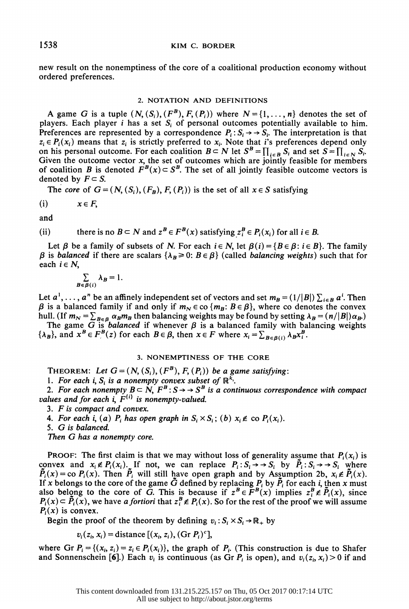new result on the nonemptiness of the core of a coalitional production economy without ordered preferences.

## 2. NOTATION AND DEFINITIONS

A game G is a tuple  $(N, (S_i), (F^B), F, (P_i))$  where  $N = \{1, \ldots, n\}$  denotes the set of players. Each player i has a set  $S_i$  of personal outcomes potentially available to him. Preferences are represented by a correspondence  $P_i: S_i \to S_i$ . The interpretation is that  $z_i \in P_i(x_i)$  means that  $z_i$  is strictly preferred to  $x_i$ . Note that i's preferences depend only on his personal outcome. For each coalition  $B \subseteq N$  let  $S^2 = \prod_{i \in B} S_i$  and set  $S = \prod_{i \in N} S_i$ . Given the outcome vector  $x$ , the set of outcomes which are jointly feasible for members of coalition B is denoted  $F^B(x) \subset S^B$ . The set of all jointly feasible outcome vectors is denoted by  $F \subset S$ .

The core of  $G = (N_s(S_i), (F_B), F_s(P_i))$  is the set of all  $x \in S$  satisfying

$$
(i) \t x \in F,
$$

and

(ii) there is no  $B \subset N$  and  $z^B \in F^B(x)$  satisfying  $z_i^B \in P_i(x_i)$  for all  $i \in B$ .

Let  $\beta$  be a family of subsets of N. For each  $i \in N$ , let  $\beta(i) = \{B \in \beta : i \in B\}$ . The family  $\beta$  is balanced if there are scalars  $\{\lambda_B \geq 0: B \in \beta\}$  (called balancing weights) such that for each  $i \in N$ ,

$$
\sum_{B\in\beta(i)}\lambda_B=1.
$$

Let  $a^1, \ldots, a^n$  be an affinely independent set of vectors and set  $m_B = (1/|B|) \sum_{i \in B} a^i$ . Then  $\beta$  is a balanced family if and only if  $m_N \in \infty$   $\{m_B: B \in \beta\}$ , where co denotes the convex

hull. (If  $m_N - \sum_{B \in \beta} \alpha_B m_B$  then balancing weights may be found by setting  $\alpha_B - (n/|B|) \alpha_B$ .)<br>The game G is balanced if whenever  $\beta$  is a balanced family with balancing weights  $\{\lambda_B\}$ , and  $x^B \in F^B(z)$  for each  $B \in \beta$ , then  $x \in F$  where  $x_i = \sum_{B \in \beta(i)} \lambda_B x_i^B$ .

## 3. NONEMPTINESS OF THE CORE

THEOREM: Let  $G = (N, (S_i), (F^B), F, (P_i))$  be a game satisfying:

1. For each i,  $S_i$  is a nonempty convex subset of  $\mathbb{R}^{n_i}$ .

2. For each nonempty  $B \subseteq N$ ,  $F^{\circ}: S \to S^{\circ}$  is a continuous correspondence with compact values and for each i,  $F^{(i)}$  is nonempty-valued.

3. F is compact and convex.

4. For each i, (a)  $P_i$  has open graph in  $S_i \times S_i$ ; (b)  $x_i \notin \text{co } P_i(x_i)$ .

5. G is balanced.

Then G has a nonempty core.

**PROOF:** The first claim is that we may without loss of generality assume that  $P_i(x_i)$  is convex and  $x_i \notin P_i(x_i)$ . If not, we can replace  $P_i: S_i \to S_i$  by  $\overline{P}_i: S_i \to S_i$  where  $\tilde{P}_i(x) =$  co  $P_i(x)$ . Then  $\tilde{P}_i$  will still have open graph and by Assumption 2b,  $x_i \notin \tilde{P}_i(x)$ . If x belongs to the core of the game G defined by replacing  $P_i$  by  $P_i$  for each i, then x must also belong to the core of G. This is because if  $z^n \in F^p(x)$  implies  $z_i^n \notin P_i(x)$ , since  $P_i(x) \subset \tilde{P}_i(x)$ , we have a fortiori that  $z_i^B \notin P_i(x)$ . So for the rest of the proof we will assume  $P_i(x)$  is convex.

Begin the proof of the theorem by defining  $v_i: S_i \times S_i \rightarrow \mathbb{R}_+$  by

$$
v_i(z_i, x_i) = \text{distance}[(x_i, z_i), (\text{Gr } P_i)^c],
$$

where Gr  $P_i = \{(x_i, z_i) = z_i \in P_i(x_i)\}\$ , the graph of  $P_i$ . (This construction is due to Shafer and Sonnenschein [6].) Each  $v_i$  is continuous (as Gr  $P_i$  is open), and  $v_i(z_i, x_i) > 0$  if and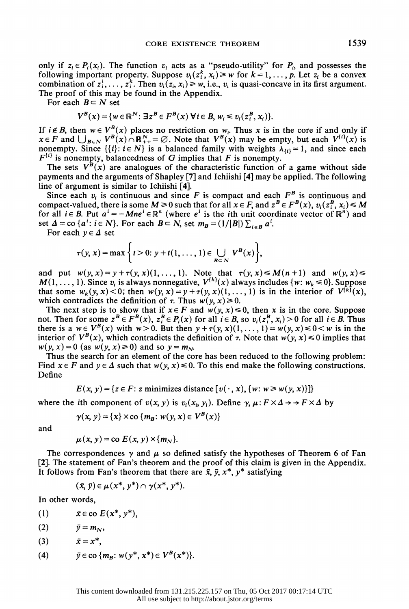only if  $z_i \in P_i(x_i)$ . The function  $v_i$  acts as a "pseudo-utility" for  $P_i$ , and possesses the following important property. Suppose  $v_i(z_i^k, x_i) \geq w$  for  $k = 1, ..., p$ . Let  $z_i$  be a convex combination of  $z_1^1, \ldots, z_i^k$ . Then  $v_i(z_i, x_i) \ge w$ , i.e.,  $v_i$  is quasi-concave in its first argument. The proof of this may be found in the Appendix.

For each  $B \subset N$  set

$$
V^B(x) = \{w \in \mathbb{R}^N : \exists z^B \in F^B(x) \; \forall i \in B, w_i \leq v_i(z_i^B, x_i)\}.
$$

If  $i \notin B$ , then  $w \in V^B(x)$  places no restriction on  $w_i$ . Thus x is in the core if and only if  $x \in F$  and  $\bigcup_{B \in N} V^B(x) \cap \mathbb{R}^N_{++} = \emptyset$ . Note that  $V^B(x)$  may be empty, but each  $V^{(i)}(x)$  is nonempty. Since  $\{\{i\}: i \in N\}$  is a balanced family with weights  $\lambda_{\{i\}} = 1$ , and since each  $F^{(i)}$  is nonempty, balancedness of G implies that F is nonempty.

The sets  $V^B(x)$  are analogues of the characteristic function of a game without side payments and the arguments of Shapley [7] and Ichiishi [4] may be applied. The following line of argument is similar to Ichiishi [4].

Since each  $v_i$  is continuous and since F is compact and each  $F^{\prime}$  is continuous and compact-valued, there is some  $M \ge 0$  such that for all  $x \in F$ , and  $z^2 \in F^2(x)$ ,  $v_i(z_i^2, x_i) \le M$ for all  $i \in B$ . Put  $a^i = -Mne^i \in \mathbb{R}^n$  (where  $e^i$  is the *i*th unit coordinate vector of  $\mathbb{R}^n$ ) and set  $\Delta =$  co { $a^i$ :  $i \in N$ }. For each  $B \subset N$ , set  $m_B = (1/|B|) \sum_{i \in B} a^i$ .

For each  $y \in \Delta$  set

$$
\tau(y, x) = \max\bigg\{t > 0: y + t(1, \ldots, 1) \in \bigcup_{B \subset N} V^{B}(x)\bigg\},\
$$

and put  $w(y, x) = y + \tau(y, x)(1, \ldots, 1)$ . Note that  $\tau(y, x) \le M(n+1)$  and  $w(y, x) \le$  $M(1, \ldots, 1)$ . Since  $v_i$  is always nonnegative,  $V^{(k)}(x)$  always includes  $\{w: w_k \le 0\}$ . Suppose that some  $w_k(y, x) < 0$ ; then  $w(y, x) = y + \tau(y, x)(1, \ldots, 1)$  is in the interior of  $V^{(k)}(x)$ , which contradicts the definition of  $\tau$ . Thus  $w(y, x) \ge 0$ .

The next step is to show that if  $x \in F$  and  $w(y, x) \le 0$ , then x is in the core. Suppose not. Then for some  $z^B \in F^B(x)$ ,  $z_i^B \in P_i(x)$  for all  $i \in B$ , so  $v_i(z_i^B, x_i) > 0$  for all  $i \in B$ . Thus there is a  $w \in V^B(x)$  with  $w > 0$ . But then  $y + \tau(y, x)(1, \ldots, 1) = w(y, x) \le 0 \le w$  is in the interior of  $V^B(x)$ , which contradicts the definition of  $\tau$ . Note that  $w(y, x) \le 0$  implies that  $w(y, x) = 0$  (as  $w(y, x) \ge 0$ ) and so  $y = m_{N_1}$ .

 Thus the search for an element of the core has been reduced to the following problem: Find  $x \in F$  and  $y \in \Delta$  such that  $w(y, x) \le 0$ . To this end make the following constructions. Define

 $E(x, y) = \{z \in F: z \text{ minimizes distance } [v(\cdot, x), \{w: w \geq w(y, x)\}] \}$ 

where the ith component of  $v(x, y)$  is  $v_i(x_i, y_i)$ . Define  $\gamma, \mu: F \times \Delta \rightarrow F \times \Delta$  by

$$
\gamma(x, y) = \{x\} \times \text{co} \{m_B : w(y, x) \in V^B(x)\}
$$

and

$$
\mu(x, y) = \text{co } E(x, y) \times \{m_N\}.
$$

The correspondences  $\gamma$  and  $\mu$  so defined satisfy the hypotheses of Theorem 6 of Fan [2]. The statement of Fan's theorem and the proof of this claim is given in the Appendix. It follows from Fan's theorem that there are  $\bar{x}$ ,  $\bar{y}$ ,  $x^*$ ,  $y^*$  satisfying

$$
(\bar{x},\bar{y})\in\mu(x^*,y^*)\cap\gamma(x^*,y^*).
$$

In other words,

- (1)  $\bar{x} \in \text{co } E(x^*, y^*),$
- (2)  $\bar{y} = m_N,$
- (3)  $\bar{x} = x^*$ ,
- (4)  $\bar{y} \in \text{co} \{m_B: w(y^*, x^*) \in V^B(x^*)\}.$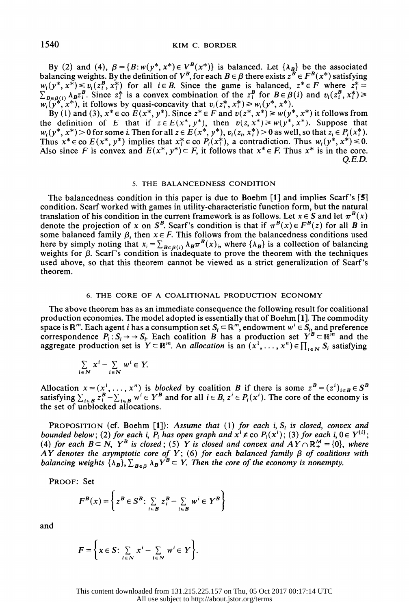By (2) and (4),  $\beta = \{B: w(y^*, x^*) \in V^{\alpha}(x^*)\}$  is balanced. Let  $\{\lambda_B\}$  be the associated balancing weights. By the definition of  $V^{\rho}$ , for each  $B \in \beta$  there exists  $z^{\rho} \in F^{\rho}(x^*)$  satisfying  $w_i(y^*, x^*) \leq v_i(z_i^*, x_i^*)$  for all  $i \in B$ . Since the game is balanced,  $z^* \in F$  where  $z_i^* = f$  $\sum_{B \in \beta(i)} \lambda_B z_i^{\gamma}$ . Since  $z_i^{\gamma}$  is a convex combination of the  $z_i^{\gamma}$  for  $B \in \beta(i)$  and  $v_i(z_i^{\gamma}, x_i^{\gamma}) \geq w_i(y^{\gamma}, x^{\gamma})$ , it follows by quasi-concavity that  $v_i(z_i^{\gamma}, x_i^{\gamma}) \geq w_i(y^{\gamma}, x^{\gamma})$ .

By (1) and (3),  $x^* \in$  co  $E(x^*, y^*)$ . Since  $z^* \in F$  and  $v(z^*, x^*) \geq w(y^*, x^*)$  it follows from the definition of E that if  $z \in E(x^*, y^*)$ , then  $v(z, x^*) \geq w(y^*, x^*)$ . Suppose that  $w_i(y^*, x^*) > 0$  for some i. Then for all  $z \in E(x^*, y^*)$ ,  $v_i(z_i, x_i^*) > 0$  as well, so that  $z_i \in P_i(x_i^*)$ . Thus  $x^* \in$  co  $E(x^*, y^*)$  implies that  $x_i^* \in$  co  $P_i(x_i^*)$ , a contradiction. Thus  $w_i(y^*, x^*) \le 0$ . Also since F is convex and  $E(x^*, y^*) \subset F$ , it follows that  $x^* \in F$ . Thus  $x^*$  is in the core. Q.E.D.

#### 5. THE BALANCEDNESS CONDITION

The balancedness condition in this paper is due to Boehm  $[1]$  and implies Scarf's  $[5]$  condition. Scarf worked with games in utility-characteristic function form, but the natural translation of his condition in the current framework is as follows. Let  $x \in S$  and let  $\pi^{B}(x)$ denote the projection of x on  $S<sup>p</sup>$ . Scarf's condition is that if  $\pi<sup>p</sup>(x) \in F<sup>p</sup>(z)$  for all B in some balanced family  $\beta$ , then  $x \in F$ . This follows from the balancedness conditions used here by simply noting that  $x_i = \sum_{B \in \beta(i)} \lambda_B \pi^B(x)_i$ , where  $\{\lambda_B\}$  is a collection of balancing weights for  $\beta$ . Scarf's condition is inadequate to prove the theorem with the techniques used above, so that this theorem cannot be viewed as a strict generalization of Scarf's theorem.

## 6. THE CORE OF A COALITIONAL PRODUCTION ECONOMY

 The above theorem has as an immediate consequence the following result for coalitional production economies. The model adopted is essentially that of Boehm [1]. The commodity space is  $\mathbb{R}^m$ . Each agent *i* has a consumption set  $S_i \subset \mathbb{R}^m$ , endowment  $w^i \in S_i$ , and preference correspondence  $P_i: S_i \to S_i$ . Each coalition B has a production set  $Y^B \subset \mathbb{R}^m$  and the aggregate production set is  $Y \subseteq \mathbb{R}^m$ . An allocation is an  $(x^1, \ldots, x^n) \in \prod_{i \in N} S_i$  satisfying

$$
\sum_{i \in N} x^i - \sum_{i \in N} w^i \in Y.
$$

Allocation  $x = (x^1, \dots, x^n)$  is blocked by coalition B if there is some  $z^B = (z^1)_{i \in B} \in S^B$ satisfying  $\sum_{i\in B} z_i^B - \sum_{i\in B} w^i \in Y^B$  and for all  $i \in B$ ,  $z^i \in P_i(x^i)$ . The core of the economy is the set of unblocked allocations.

PROPOSITION (cf. Boehm [1]): Assume that (1) for each i,  $S_i$  is closed, convex and bounded below; (2) for each i,  $P_i$  has open graph and  $x^i \notin$  co  $P_i(x^i)$ ; (3) for each i,  $0 \in Y^{(i)}$ ; (4) for each  $B \subseteq N$ ,  $Y^B$  is closed; (5) Y is closed and convex and  $AY \cap \mathbb{R}^{m}_{+} = \{0\}$ , where AY denotes the asymptotic core of Y; (6) for each balanced family  $\beta$  of coalitions with balancing weights  $\{\lambda_B\}, \sum_{B \in \mathcal{B}} \lambda_B Y^B \subset Y$ . Then the core of the economy is nonempty.

PROOF: Set

$$
F^{B}(x) = \left\{ z^{B} \in S^{B} : \sum_{i \in B} z_{i}^{B} - \sum_{i \in B} w^{i} \in Y^{B} \right\}
$$

and

$$
F = \bigg\{ x \in S \colon \sum_{i \in N} x^i - \sum_{i \in N} w^i \in Y \bigg\}.
$$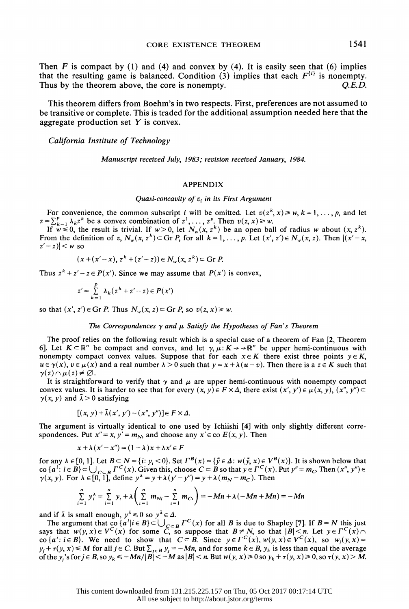Then F is compact by (1) and (4) and convex by (4). It is easily seen that (6) implies that the resulting game is balanced. Condition (3) implies that each  $F^{(i)}$  is nonempty. Thus by the theorem above, the core is nonempty.  $Q.E.D.$ 

 This theorem differs from Boehm's in two respects. First, preferences are not assumed to be transitive or complete. This is traded for the additional assumption needed here that the aggregate production set  $Y$  is convex.

## California Institute of Technology

Manuscript received July, 1983; revision received January, 1984.

#### APPENDIX

#### Quasi-concavity of  $v_i$  in its First Argument

For convenience, the common subscript *i* will be omitted. Let  $v(z^k, x) \geq w, k = 1, \ldots, p$ , and let  $z=\sum_{k=1}^r \lambda_k z^k$  be a convex combination of  $z^1, \ldots, z^p$ . Then  $v(z, x) \geq w$ .

If  $w \le 0$ , the result is trivial. If  $w > 0$ , let  $N_w(x, z^k)$  be an open ball of radius w about  $(x, z^k)$ . From the definition of v,  $N_w(x, z^k) \subset$  Gr P, for all  $k = 1, ..., p$ . Let  $(x', z') \in N_w(x, z)$ . Then  $|(x'-x, z')|^2 \in N_w(x, z)$ .  $|z'-z|$   $<$  w so

$$
(x+(x'-x), z^k+(z'-z)) \in N_w(x, z^k) \subset
$$
 Gr P.

Thus  $z^{k} + z' - z \in P(x')$ . Since we may assume that  $P(x')$  is convex,

$$
z' = \sum_{k=1}^p \lambda_k (z^k + z' - z) \in P(x')
$$

so that  $(x', z') \in \text{Gr } P$ . Thus  $N_w(x, z) \subset \text{Gr } P$ , so  $v(z, x) \geq w$ .

### The Correspondences  $\gamma$  and  $\mu$  Satisfy the Hypotheses of Fan's Theorem

 The proof relies on the following result which is a special case of a theorem of Fan [2, Theorem 6]. Let  $K \subset \mathbb{R}^n$  be compact and convex, and let  $\gamma, \mu: K \to \mathbb{R}^n$  be upper hemi-continuous with nonempty compact convex values. Suppose that for each  $x \in K$  there exist three points  $y \in K$ ,  $u \in \gamma(x)$ ,  $v \in \mu(x)$  and a real number  $\lambda > 0$  such that  $y = x + \lambda(u - v)$ . Then there is a  $z \in K$  such that  $\gamma(z) \cap \mu(z) \neq \varnothing$ .

It is straightforward to verify that  $\gamma$  and  $\mu$  are upper hemi-continuous with nonempty compact convex values. It is harder to see that for every  $(x, y) \in F \times \Delta$ , there exist  $(x', y') \in \mu(x, y)$ ,  $(x'', y'') \subset$  $\gamma(x, y)$  and  $\bar{\lambda} > 0$  satisfying

$$
[(x, y) + \lambda(x', y') - (x'', y'')] \in F \times \Delta.
$$

 The argument is virtually identical to one used by Ichiishi [4] with only slightly different corre spondences. Put  $x'' = x$ ,  $y' = m_N$ , and choose any  $x' \in \text{co } E(x, y)$ . Then

$$
x + \lambda (x'-x'') = (1-\lambda)x + \lambda x' \in F
$$

for any  $\lambda \in [0, 1]$ . Let  $B \subset N = \{i: y_i < 0\}$ . Set  $\Gamma^B(x) = \{y \in \Delta : w(y, x) \in V^B(x)\}$ . It is shown below that co {a': i  $\in B$ }  $\subset \bigcup_{C \subset B} I^C(x)$ . Given this, choose  $C \subset B$  so that  $y \in I^C(x)$ . Put  $y'' = m_C$ . Then  $(x'', y'') \in$  $\gamma(x, y)$ . For  $\lambda \in [0, 1]$ , define  $y^{\lambda} = y + \lambda (y' - y'') = y + \lambda (m_N - m_C)$ . Then<br>  $\sum_{n=0}^{N} x \cdot \lambda = \sum_{n=0}^{N} x(n+1) \left( \sum_{n=0}^{N} m_n - \sum_{n=0}^{N} m_n \right) = Mn + M(m + M)$ 

$$
\sum_{i=1}^{n} y_i^{\lambda} = \sum_{i=1}^{n} y_i + \lambda \left( \sum_{i=1}^{n} m_{Ni} - \sum_{i=1}^{n} m_{Ci} \right) = -Mn + \lambda (-Mn + Mn) = -Mn
$$

and if  $\lambda$  is small enough,  $y^* \le 0$  so  $y^* \in \Delta$ .

The argument that co {a'|i  $\in B$ }  $\subset \bigcup_{C \subset B} \Gamma^C(x)$  for all B is due to Shapley [7]. If  $B = N$  this just says that  $w(y, x) \in V^{\mathbb{C}}(x)$  for some C, so suppose that  $B \neq N$ , so that  $|B| < n$ . Let  $y \in I^{\mathbb{C}}(x) \cap$ <br>co {a': i e B}. We need to show that  $C \subseteq B$ . Since  $y \in \Gamma^{\mathbb{C}}(x)$ ,  $w(y, x) \in V^{\mathbb{C}}(x)$ , so  $w_i(y, x) =$  $y_j + \tau(y, x) \le M$  for all  $j \in C$ . But  $\sum_{j \in B} y_j = -Mn$ , and for some  $k \in B$ ,  $y_k$  is less than equal the average of the y<sub>j</sub>'s for  $j \in B$ , so  $y_k \le -Mn/|B| \le -M$  as  $|B| \le n$ . But  $w(y, x) \ge 0$  so  $y_k + \tau(y, x) \ge 0$ , so  $\tau(y, x) > M$ .